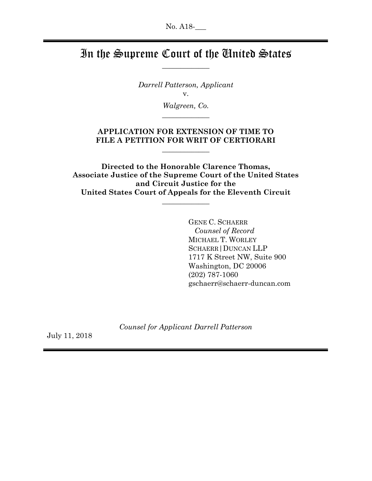## In the Supreme Court of the United States  $\overline{\phantom{a}}$

Darrell Patterson, Applicant v.

> Walgreen, Co.  $\overline{\phantom{a}}$  , where  $\overline{\phantom{a}}$

## APPLICATION FOR EXTENSION OF TIME TO FILE A PETITION FOR WRIT OF CERTIORARI

 $\overline{\phantom{a}}$ 

Directed to the Honorable Clarence Thomas, Associate Justice of the Supreme Court of the United States and Circuit Justice for the United States Court of Appeals for the Eleventh Circuit

 $\overline{\phantom{a}}$ 

GENE C. SCHAERR Counsel of Record MICHAEL T. WORLEY SCHAERR|DUNCAN LLP 1717 K Street NW, Suite 900 Washington, DC 20006 (202) 787-1060 gschaerr@schaerr-duncan.com

Counsel for Applicant Darrell Patterson

July 11, 2018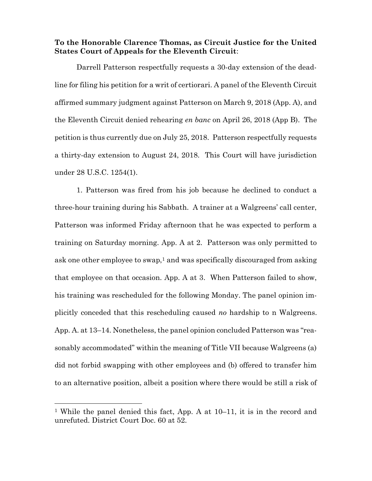## To the Honorable Clarence Thomas, as Circuit Justice for the United States Court of Appeals for the Eleventh Circuit:

Darrell Patterson respectfully requests a 30-day extension of the deadline for filing his petition for a writ of certiorari. A panel of the Eleventh Circuit affirmed summary judgment against Patterson on March 9, 2018 (App. A), and the Eleventh Circuit denied rehearing en banc on April 26, 2018 (App B). The petition is thus currently due on July 25, 2018. Patterson respectfully requests a thirty-day extension to August 24, 2018. This Court will have jurisdiction under 28 U.S.C. 1254(1).

1. Patterson was fired from his job because he declined to conduct a three-hour training during his Sabbath. A trainer at a Walgreens' call center, Patterson was informed Friday afternoon that he was expected to perform a training on Saturday morning. App. A at 2. Patterson was only permitted to ask one other employee to swap,<sup>1</sup> and was specifically discouraged from asking that employee on that occasion. App. A at 3. When Patterson failed to show, his training was rescheduled for the following Monday. The panel opinion implicitly conceded that this rescheduling caused no hardship to n Walgreens. App. A. at 13–14. Nonetheless, the panel opinion concluded Patterson was "reasonably accommodated" within the meaning of Title VII because Walgreens (a) did not forbid swapping with other employees and (b) offered to transfer him to an alternative position, albeit a position where there would be still a risk of

-

<sup>1</sup> While the panel denied this fact, App. A at 10–11, it is in the record and unrefuted. District Court Doc. 60 at 52.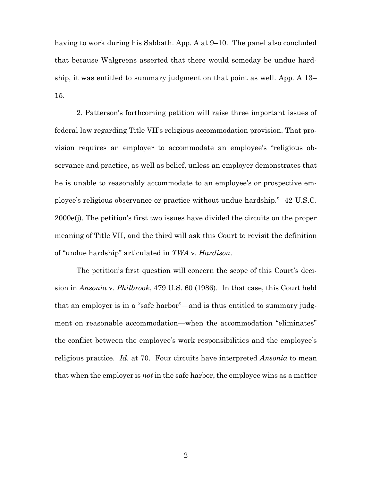having to work during his Sabbath. App. A at 9–10. The panel also concluded that because Walgreens asserted that there would someday be undue hardship, it was entitled to summary judgment on that point as well. App. A 13– 15.

2. Patterson's forthcoming petition will raise three important issues of federal law regarding Title VII's religious accommodation provision. That provision requires an employer to accommodate an employee's "religious observance and practice, as well as belief, unless an employer demonstrates that he is unable to reasonably accommodate to an employee's or prospective employee's religious observance or practice without undue hardship." 42 U.S.C. 2000e(j). The petition's first two issues have divided the circuits on the proper meaning of Title VII, and the third will ask this Court to revisit the definition of "undue hardship" articulated in TWA v. Hardison.

The petition's first question will concern the scope of this Court's decision in Ansonia v. Philbrook, 479 U.S. 60 (1986). In that case, this Court held that an employer is in a "safe harbor"—and is thus entitled to summary judgment on reasonable accommodation—when the accommodation "eliminates" the conflict between the employee's work responsibilities and the employee's religious practice. Id. at 70. Four circuits have interpreted Ansonia to mean that when the employer is *not* in the safe harbor, the employee wins as a matter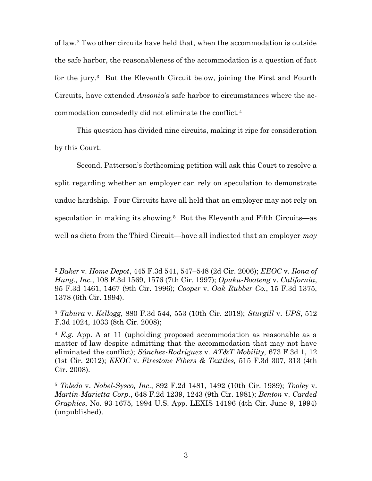of law.2 Two other circuits have held that, when the accommodation is outside the safe harbor, the reasonableness of the accommodation is a question of fact for the jury.3 But the Eleventh Circuit below, joining the First and Fourth Circuits, have extended Ansonia's safe harbor to circumstances where the accommodation concededly did not eliminate the conflict.<sup>4</sup>

This question has divided nine circuits, making it ripe for consideration by this Court.

Second, Patterson's forthcoming petition will ask this Court to resolve a split regarding whether an employer can rely on speculation to demonstrate undue hardship. Four Circuits have all held that an employer may not rely on speculation in making its showing.<sup>5</sup> But the Eleventh and Fifth Circuits—as well as dicta from the Third Circuit—have all indicated that an employer  $may$ 

-

 $^{2}$  Baker v. Home Depot, 445 F.3d 541, 547–548 (2d Cir. 2006); EEOC v. Ilona of Hung., Inc., 108 F.3d 1569, 1576 (7th Cir. 1997); Opuku-Boateng v. California, 95 F.3d 1461, 1467 (9th Cir. 1996); Cooper v. Oak Rubber Co., 15 F.3d 1375, 1378 (6th Cir. 1994).

<sup>3</sup> Tabura v. Kellogg, 880 F.3d 544, 553 (10th Cir. 2018); Sturgill v. UPS, 512 F.3d 1024, 1033 (8th Cir. 2008);

<sup>&</sup>lt;sup>4</sup> E.g. App. A at 11 (upholding proposed accommodation as reasonable as a matter of law despite admitting that the accommodation that may not have eliminated the conflict); Sánchez-Rodríguez v.  $AT&T$  Mobility, 673 F.3d 1, 12 (1st Cir. 2012); *EEOC* v. *Firestone Fibers & Textiles*, 515 F.3d 307, 313 (4th) Cir. 2008).

<sup>5</sup> Toledo v. Nobel-Sysco, Inc., 892 F.2d 1481, 1492 (10th Cir. 1989); Tooley v. Martin-Marietta Corp., 648 F.2d 1239, 1243 (9th Cir. 1981); Benton v. Carded Graphics, No. 93-1675, 1994 U.S. App. LEXIS 14196 (4th Cir. June 9, 1994) (unpublished).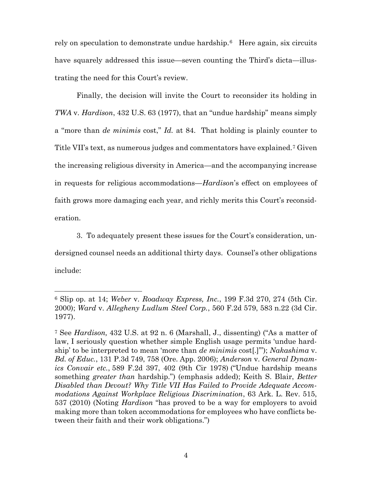rely on speculation to demonstrate undue hardship.<sup>6</sup> Here again, six circuits have squarely addressed this issue—seven counting the Third's dicta—illustrating the need for this Court's review.

Finally, the decision will invite the Court to reconsider its holding in TWA v. Hardison, 432 U.S. 63 (1977), that an "undue hardship" means simply a "more than de minimis cost," Id. at 84. That holding is plainly counter to Title VII's text, as numerous judges and commentators have explained.7 Given the increasing religious diversity in America—and the accompanying increase in requests for religious accommodations—Hardison's effect on employees of faith grows more damaging each year, and richly merits this Court's reconsideration.

 3. To adequately present these issues for the Court's consideration, undersigned counsel needs an additional thirty days. Counsel's other obligations include:

 $\overline{a}$ 

 $6$  Slip op. at 14; Weber v. Roadway Express, Inc., 199 F.3d 270, 274 (5th Cir. 2000); Ward v. Allegheny Ludlum Steel Corp., 560 F.2d 579, 583 n.22 (3d Cir. 1977).

<sup>7</sup> See Hardison, 432 U.S. at 92 n. 6 (Marshall, J., dissenting) ("As a matter of law, I seriously question whether simple English usage permits 'undue hardship' to be interpreted to mean 'more than *de minimis* cost[.]""); Nakashima v. Bd. of Educ., 131 P.3d 749, 758 (Ore. App. 2006); Anderson v. General Dynamics Convair etc., 589 F.2d 397, 402 (9th Cir 1978) ("Undue hardship means something greater than hardship.") (emphasis added); Keith S. Blair, Better Disabled than Devout? Why Title VII Has Failed to Provide Adequate Accommodations Against Workplace Religious Discrimination, 63 Ark. L. Rev. 515, 537 (2010) (Noting Hardison "has proved to be a way for employers to avoid making more than token accommodations for employees who have conflicts between their faith and their work obligations.")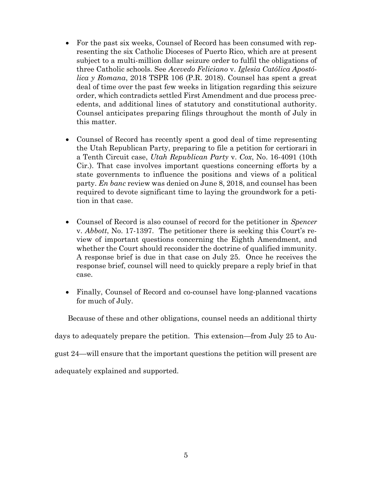- For the past six weeks, Counsel of Record has been consumed with representing the six Catholic Dioceses of Puerto Rico, which are at present subject to a multi-million dollar seizure order to fulfil the obligations of three Catholic schools. See Acevedo Feliciano v. Iglesia Católica Apostólica y Romana, 2018 TSPR 106 (P.R. 2018). Counsel has spent a great deal of time over the past few weeks in litigation regarding this seizure order, which contradicts settled First Amendment and due process precedents, and additional lines of statutory and constitutional authority. Counsel anticipates preparing filings throughout the month of July in this matter.
- Counsel of Record has recently spent a good deal of time representing the Utah Republican Party, preparing to file a petition for certiorari in a Tenth Circuit case, Utah Republican Party v. Cox, No. 16-4091 (10th Cir.). That case involves important questions concerning efforts by a state governments to influence the positions and views of a political party. En banc review was denied on June 8, 2018, and counsel has been required to devote significant time to laying the groundwork for a petition in that case.
- Counsel of Record is also counsel of record for the petitioner in Spencer v. Abbott, No. 17-1397. The petitioner there is seeking this Court's review of important questions concerning the Eighth Amendment, and whether the Court should reconsider the doctrine of qualified immunity. A response brief is due in that case on July 25. Once he receives the response brief, counsel will need to quickly prepare a reply brief in that case.
- Finally, Counsel of Record and co-counsel have long-planned vacations for much of July.

Because of these and other obligations, counsel needs an additional thirty

days to adequately prepare the petition. This extension—from July 25 to Au-

gust 24—will ensure that the important questions the petition will present are

adequately explained and supported.